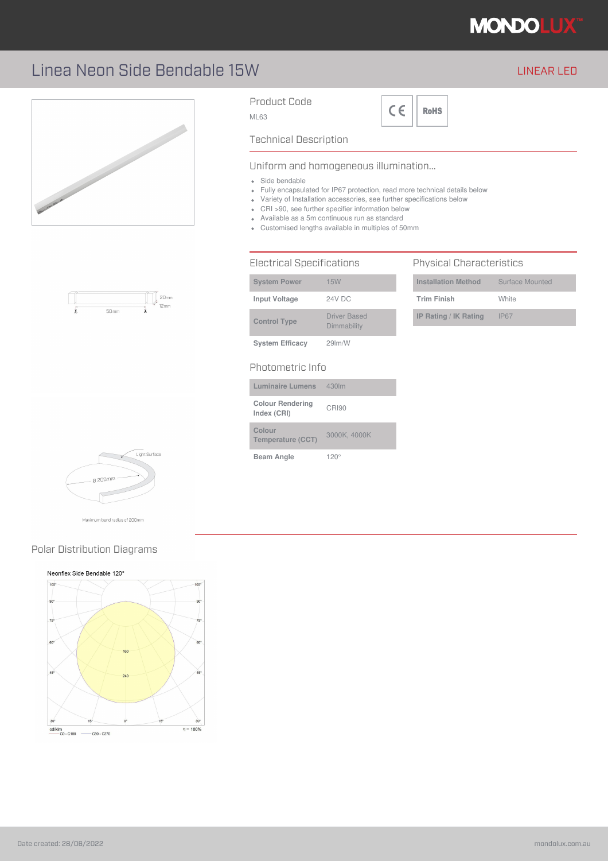

### Linea Neon Side Bendable 15W LINEAR LED







Maximum bend radius of 200mm

### Polar Distribution Diagrams

#### Neonflex Side Bendable 120°



Product Code

ML63



### Technical Description

#### Uniform and homogeneous illumination...

- Side bendable
- Fully encapsulated for IP67 protection, read more technical details below
- Variety of Installation accessories, see further specifications below
- CRI >90, see further specifier information below
- Available as a 5m continuous run as standard
- Customised lengths available in multiples of 50mm

#### Electrical Specifications

| <b>System Power</b>    | <b>15W</b>                         |
|------------------------|------------------------------------|
| <b>Input Voltage</b>   | 24V DC                             |
| <b>Control Type</b>    | <b>Driver Based</b><br>Dimmability |
| <b>System Efficacy</b> | 29 <sub>lm</sub> /W                |

#### Photometric Info

| <b>Luminaire Lumens</b>                | 430lm        |
|----------------------------------------|--------------|
| <b>Colour Rendering</b><br>Index (CRI) | CRI90        |
| Colour<br>Temperature (CCT)            | 3000K, 4000K |
| <b>Beam Angle</b>                      | $120^\circ$  |

#### Physical Characteristics

| <b>Installation Method</b> | Surface Mounted |
|----------------------------|-----------------|
| <b>Trim Finish</b>         | White           |
| IP Rating / IK Rating      | IP67            |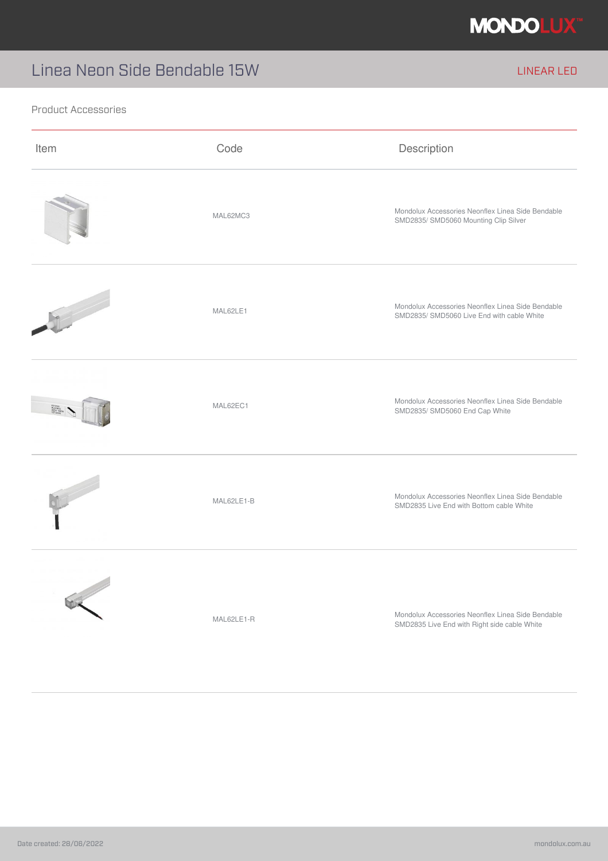

# Linea Neon Side Bendable 15W LINEAR LED

#### Product Accessories

| Item | Code       | Description                                                                                       |
|------|------------|---------------------------------------------------------------------------------------------------|
|      | MAL62MC3   | Mondolux Accessories Neonflex Linea Side Bendable<br>SMD2835/ SMD5060 Mounting Clip Silver        |
|      | MAL62LE1   | Mondolux Accessories Neonflex Linea Side Bendable<br>SMD2835/ SMD5060 Live End with cable White   |
|      | MAL62EC1   | Mondolux Accessories Neonflex Linea Side Bendable<br>SMD2835/ SMD5060 End Cap White               |
|      | MAL62LE1-B | Mondolux Accessories Neonflex Linea Side Bendable<br>SMD2835 Live End with Bottom cable White     |
|      | MAL62LE1-R | Mondolux Accessories Neonflex Linea Side Bendable<br>SMD2835 Live End with Right side cable White |